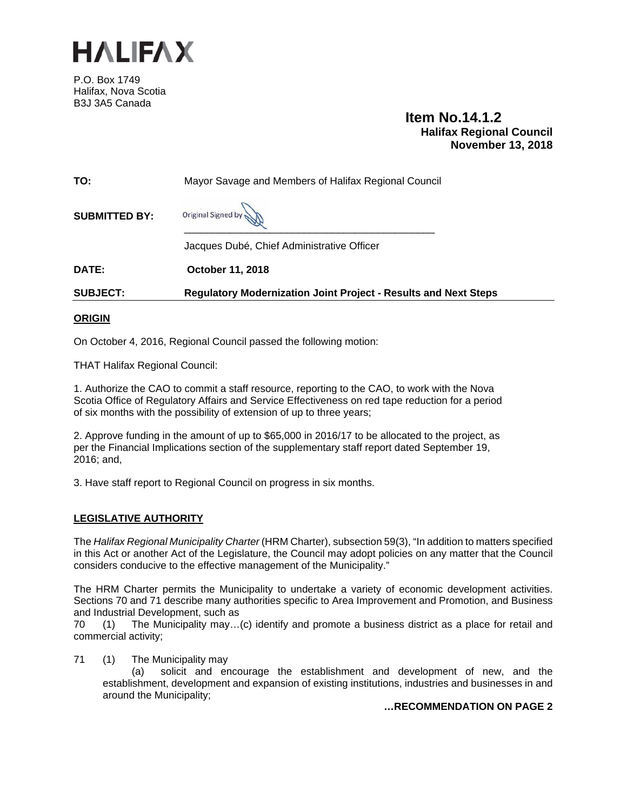

P.O. Box 1749 Halifax, Nova Scotia B3J 3A5 Canada

 **Item No.14.1.2 Halifax Regional Council November 13, 2018**

| TO:                  | Mayor Savage and Members of Halifax Regional Council                   |
|----------------------|------------------------------------------------------------------------|
| <b>SUBMITTED BY:</b> | Original Signed by                                                     |
|                      | Jacques Dubé, Chief Administrative Officer                             |
| DATE:                | <b>October 11, 2018</b>                                                |
| <b>SUBJECT:</b>      | <b>Regulatory Modernization Joint Project - Results and Next Steps</b> |

### **ORIGIN**

On October 4, 2016, Regional Council passed the following motion:

THAT Halifax Regional Council:

1. Authorize the CAO to commit a staff resource, reporting to the CAO, to work with the Nova Scotia Office of Regulatory Affairs and Service Effectiveness on red tape reduction for a period of six months with the possibility of extension of up to three years;

2. Approve funding in the amount of up to \$65,000 in 2016/17 to be allocated to the project, as per the Financial Implications section of the supplementary staff report dated September 19, 2016; and,

3. Have staff report to Regional Council on progress in six months.

### **LEGISLATIVE AUTHORITY**

The *Halifax Regional Municipality Charter* (HRM Charter), subsection 59(3), "In addition to matters specified in this Act or another Act of the Legislature, the Council may adopt policies on any matter that the Council considers conducive to the effective management of the Municipality."

The HRM Charter permits the Municipality to undertake a variety of economic development activities. Sections 70 and 71 describe many authorities specific to Area Improvement and Promotion, and Business and Industrial Development, such as

70 (1) The Municipality may…(c) identify and promote a business district as a place for retail and commercial activity;

71 (1) The Municipality may

 (a) solicit and encourage the establishment and development of new, and the establishment, development and expansion of existing institutions, industries and businesses in and around the Municipality;

**…RECOMMENDATION ON PAGE 2**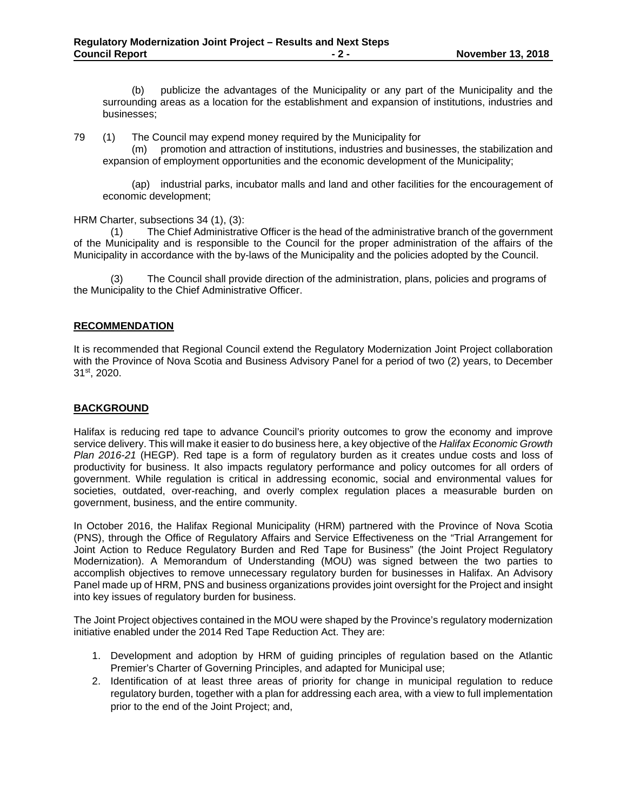(b) publicize the advantages of the Municipality or any part of the Municipality and the surrounding areas as a location for the establishment and expansion of institutions, industries and businesses;

79 (1)The Council may expend money required by the Municipality for

 (m) promotion and attraction of institutions, industries and businesses, the stabilization and expansion of employment opportunities and the economic development of the Municipality;

 (ap) industrial parks, incubator malls and land and other facilities for the encouragement of economic development;

HRM Charter, subsections 34 (1), (3):

(1) The Chief Administrative Officer is the head of the administrative branch of the government of the Municipality and is responsible to the Council for the proper administration of the affairs of the Municipality in accordance with the by-laws of the Municipality and the policies adopted by the Council.

The Council shall provide direction of the administration, plans, policies and programs of the Municipality to the Chief Administrative Officer.

### **RECOMMENDATION**

It is recommended that Regional Council extend the Regulatory Modernization Joint Project collaboration with the Province of Nova Scotia and Business Advisory Panel for a period of two (2) years, to December 31st, 2020.

### **BACKGROUND**

Halifax is reducing red tape to advance Council's priority outcomes to grow the economy and improve service delivery. This will make it easier to do business here, a key objective of the *Halifax Economic Growth Plan 2016-21* (HEGP). Red tape is a form of regulatory burden as it creates undue costs and loss of productivity for business. It also impacts regulatory performance and policy outcomes for all orders of government. While regulation is critical in addressing economic, social and environmental values for societies, outdated, over-reaching, and overly complex regulation places a measurable burden on government, business, and the entire community.

In October 2016, the Halifax Regional Municipality (HRM) partnered with the Province of Nova Scotia (PNS), through the Office of Regulatory Affairs and Service Effectiveness on the "Trial Arrangement for Joint Action to Reduce Regulatory Burden and Red Tape for Business" (the Joint Project Regulatory Modernization). A Memorandum of Understanding (MOU) was signed between the two parties to accomplish objectives to remove unnecessary regulatory burden for businesses in Halifax. An Advisory Panel made up of HRM, PNS and business organizations provides joint oversight for the Project and insight into key issues of regulatory burden for business.

The Joint Project objectives contained in the MOU were shaped by the Province's regulatory modernization initiative enabled under the 2014 Red Tape Reduction Act. They are:

- 1. Development and adoption by HRM of guiding principles of regulation based on the Atlantic Premier's Charter of Governing Principles, and adapted for Municipal use;
- 2. Identification of at least three areas of priority for change in municipal regulation to reduce regulatory burden, together with a plan for addressing each area, with a view to full implementation prior to the end of the Joint Project; and,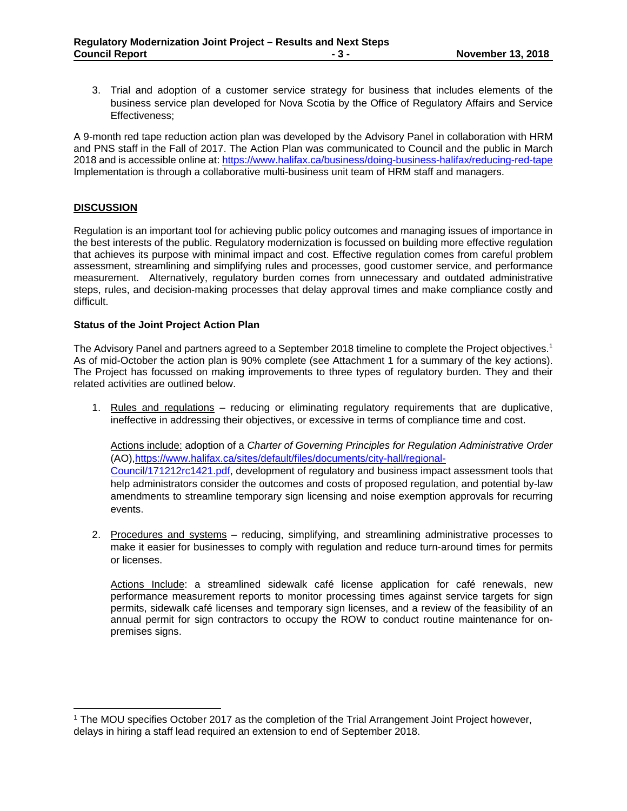3. Trial and adoption of a customer service strategy for business that includes elements of the business service plan developed for Nova Scotia by the Office of Regulatory Affairs and Service Effectiveness;

A 9-month red tape reduction action plan was developed by the Advisory Panel in collaboration with HRM and PNS staff in the Fall of 2017. The Action Plan was communicated to Council and the public in March 2018 and is accessible online at: https://www.halifax.ca/business/doing-business-halifax/reducing-red-tape Implementation is through a collaborative multi-business unit team of HRM staff and managers.

### **DISCUSSION**

 $\overline{a}$ 

Regulation is an important tool for achieving public policy outcomes and managing issues of importance in the best interests of the public. Regulatory modernization is focussed on building more effective regulation that achieves its purpose with minimal impact and cost. Effective regulation comes from careful problem assessment, streamlining and simplifying rules and processes, good customer service, and performance measurement. Alternatively, regulatory burden comes from unnecessary and outdated administrative steps, rules, and decision-making processes that delay approval times and make compliance costly and difficult.

### **Status of the Joint Project Action Plan**

The Advisory Panel and partners agreed to a September 2018 timeline to complete the Project objectives.1 As of mid-October the action plan is 90% complete (see Attachment 1 for a summary of the key actions). The Project has focussed on making improvements to three types of regulatory burden. They and their related activities are outlined below.

1. Rules and regulations – reducing or eliminating regulatory requirements that are duplicative, ineffective in addressing their objectives, or excessive in terms of compliance time and cost.

Actions include: adoption of a *Charter of Governing Principles for Regulation Administrative Order* (AO),https://www.halifax.ca/sites/default/files/documents/city-hall/regional-Council/171212rc1421.pdf, development of regulatory and business impact assessment tools that help administrators consider the outcomes and costs of proposed regulation, and potential by-law amendments to streamline temporary sign licensing and noise exemption approvals for recurring events.

2. Procedures and systems - reducing, simplifying, and streamlining administrative processes to make it easier for businesses to comply with regulation and reduce turn-around times for permits or licenses.

Actions Include: a streamlined sidewalk café license application for café renewals, new performance measurement reports to monitor processing times against service targets for sign permits, sidewalk café licenses and temporary sign licenses, and a review of the feasibility of an annual permit for sign contractors to occupy the ROW to conduct routine maintenance for onpremises signs.

<sup>1</sup> The MOU specifies October 2017 as the completion of the Trial Arrangement Joint Project however, delays in hiring a staff lead required an extension to end of September 2018.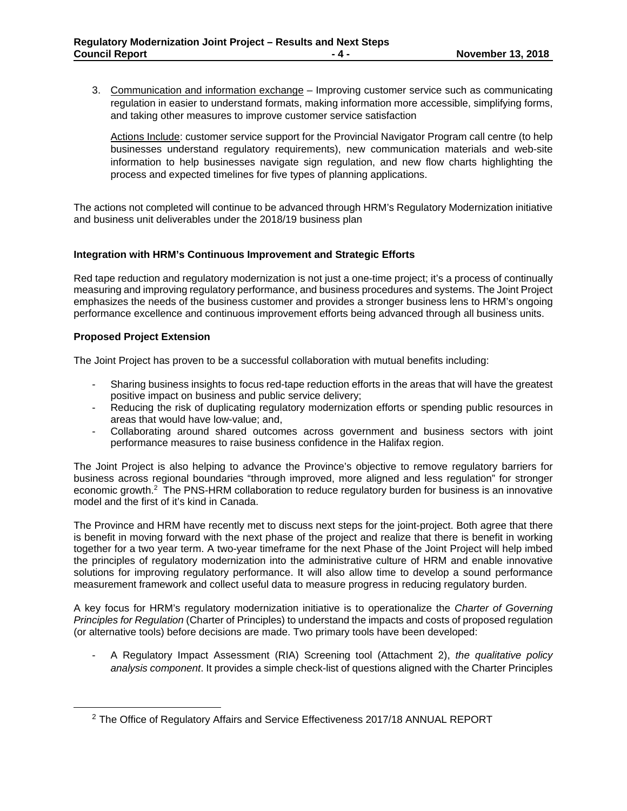3. Communication and information exchange – Improving customer service such as communicating regulation in easier to understand formats, making information more accessible, simplifying forms, and taking other measures to improve customer service satisfaction

Actions Include: customer service support for the Provincial Navigator Program call centre (to help businesses understand regulatory requirements), new communication materials and web-site information to help businesses navigate sign regulation, and new flow charts highlighting the process and expected timelines for five types of planning applications.

The actions not completed will continue to be advanced through HRM's Regulatory Modernization initiative and business unit deliverables under the 2018/19 business plan

### **Integration with HRM's Continuous Improvement and Strategic Efforts**

Red tape reduction and regulatory modernization is not just a one-time project; it's a process of continually measuring and improving regulatory performance, and business procedures and systems. The Joint Project emphasizes the needs of the business customer and provides a stronger business lens to HRM's ongoing performance excellence and continuous improvement efforts being advanced through all business units.

### **Proposed Project Extension**

The Joint Project has proven to be a successful collaboration with mutual benefits including:

- Sharing business insights to focus red-tape reduction efforts in the areas that will have the greatest positive impact on business and public service delivery;
- Reducing the risk of duplicating regulatory modernization efforts or spending public resources in areas that would have low-value; and,
- Collaborating around shared outcomes across government and business sectors with joint performance measures to raise business confidence in the Halifax region.

The Joint Project is also helping to advance the Province's objective to remove regulatory barriers for business across regional boundaries "through improved, more aligned and less regulation" for stronger economic growth.<sup>2</sup> The PNS-HRM collaboration to reduce regulatory burden for business is an innovative model and the first of it's kind in Canada.

The Province and HRM have recently met to discuss next steps for the joint-project. Both agree that there is benefit in moving forward with the next phase of the project and realize that there is benefit in working together for a two year term. A two-year timeframe for the next Phase of the Joint Project will help imbed the principles of regulatory modernization into the administrative culture of HRM and enable innovative solutions for improving regulatory performance. It will also allow time to develop a sound performance measurement framework and collect useful data to measure progress in reducing regulatory burden.

A key focus for HRM's regulatory modernization initiative is to operationalize the *Charter of Governing Principles for Regulation* (Charter of Principles) to understand the impacts and costs of proposed regulation (or alternative tools) before decisions are made. Two primary tools have been developed:

- A Regulatory Impact Assessment (RIA) Screening tool (Attachment 2), *the qualitative policy analysis component*. It provides a simple check-list of questions aligned with the Charter Principles

<sup>&</sup>lt;sup>2</sup> The Office of Regulatory Affairs and Service Effectiveness 2017/18 ANNUAL REPORT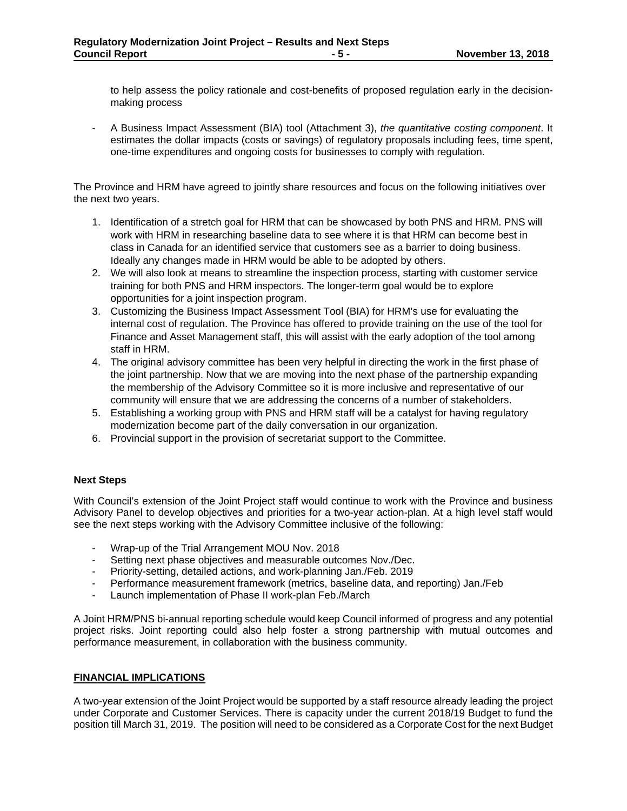to help assess the policy rationale and cost-benefits of proposed regulation early in the decisionmaking process

- A Business Impact Assessment (BIA) tool (Attachment 3), *the quantitative costing component*. It estimates the dollar impacts (costs or savings) of regulatory proposals including fees, time spent, one-time expenditures and ongoing costs for businesses to comply with regulation.

The Province and HRM have agreed to jointly share resources and focus on the following initiatives over the next two years.

- 1. Identification of a stretch goal for HRM that can be showcased by both PNS and HRM. PNS will work with HRM in researching baseline data to see where it is that HRM can become best in class in Canada for an identified service that customers see as a barrier to doing business. Ideally any changes made in HRM would be able to be adopted by others.
- 2. We will also look at means to streamline the inspection process, starting with customer service training for both PNS and HRM inspectors. The longer-term goal would be to explore opportunities for a joint inspection program.
- 3. Customizing the Business Impact Assessment Tool (BIA) for HRM's use for evaluating the internal cost of regulation. The Province has offered to provide training on the use of the tool for Finance and Asset Management staff, this will assist with the early adoption of the tool among staff in HRM.
- 4. The original advisory committee has been very helpful in directing the work in the first phase of the joint partnership. Now that we are moving into the next phase of the partnership expanding the membership of the Advisory Committee so it is more inclusive and representative of our community will ensure that we are addressing the concerns of a number of stakeholders.
- 5. Establishing a working group with PNS and HRM staff will be a catalyst for having regulatory modernization become part of the daily conversation in our organization.
- 6. Provincial support in the provision of secretariat support to the Committee.

### **Next Steps**

With Council's extension of the Joint Project staff would continue to work with the Province and business Advisory Panel to develop objectives and priorities for a two-year action-plan. At a high level staff would see the next steps working with the Advisory Committee inclusive of the following:

- Wrap-up of the Trial Arrangement MOU Nov. 2018
- Setting next phase objectives and measurable outcomes Nov./Dec.
- Priority-setting, detailed actions, and work-planning Jan./Feb. 2019
- Performance measurement framework (metrics, baseline data, and reporting) Jan./Feb
- Launch implementation of Phase II work-plan Feb./March

A Joint HRM/PNS bi-annual reporting schedule would keep Council informed of progress and any potential project risks. Joint reporting could also help foster a strong partnership with mutual outcomes and performance measurement, in collaboration with the business community.

### **FINANCIAL IMPLICATIONS**

A two-year extension of the Joint Project would be supported by a staff resource already leading the project under Corporate and Customer Services. There is capacity under the current 2018/19 Budget to fund the position till March 31, 2019. The position will need to be considered as a Corporate Cost for the next Budget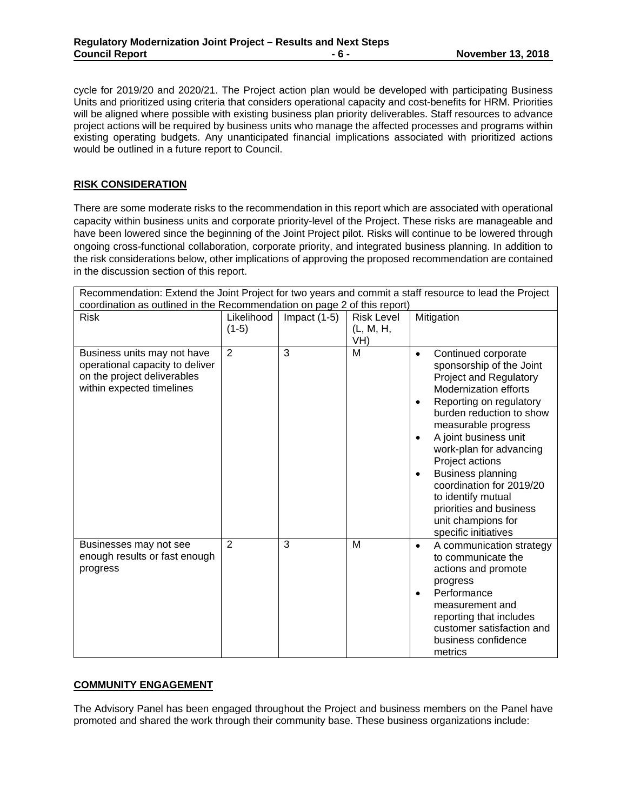cycle for 2019/20 and 2020/21. The Project action plan would be developed with participating Business Units and prioritized using criteria that considers operational capacity and cost-benefits for HRM. Priorities will be aligned where possible with existing business plan priority deliverables. Staff resources to advance project actions will be required by business units who manage the affected processes and programs within existing operating budgets. Any unanticipated financial implications associated with prioritized actions would be outlined in a future report to Council.

### **RISK CONSIDERATION**

There are some moderate risks to the recommendation in this report which are associated with operational capacity within business units and corporate priority-level of the Project. These risks are manageable and have been lowered since the beginning of the Joint Project pilot. Risks will continue to be lowered through ongoing cross-functional collaboration, corporate priority, and integrated business planning. In addition to the risk considerations below, other implications of approving the proposed recommendation are contained in the discussion section of this report.

| Recommendation: Extend the Joint Project for two years and commit a staff resource to lead the Project<br>coordination as outlined in the Recommendation on page 2 of this report) |                       |                |                                       |                                                                                                                                                                                                                                                                                                                                                                                                                                          |
|------------------------------------------------------------------------------------------------------------------------------------------------------------------------------------|-----------------------|----------------|---------------------------------------|------------------------------------------------------------------------------------------------------------------------------------------------------------------------------------------------------------------------------------------------------------------------------------------------------------------------------------------------------------------------------------------------------------------------------------------|
| <b>Risk</b>                                                                                                                                                                        | Likelihood<br>$(1-5)$ | Impact $(1-5)$ | <b>Risk Level</b><br>(L, M, H,<br>VH) | Mitigation                                                                                                                                                                                                                                                                                                                                                                                                                               |
| Business units may not have<br>operational capacity to deliver<br>on the project deliverables<br>within expected timelines                                                         | $\overline{2}$        | 3              | M                                     | Continued corporate<br>$\bullet$<br>sponsorship of the Joint<br>Project and Regulatory<br><b>Modernization efforts</b><br>Reporting on regulatory<br>$\bullet$<br>burden reduction to show<br>measurable progress<br>A joint business unit<br>work-plan for advancing<br>Project actions<br>Business planning<br>coordination for 2019/20<br>to identify mutual<br>priorities and business<br>unit champions for<br>specific initiatives |
| Businesses may not see<br>enough results or fast enough<br>progress                                                                                                                | $\overline{2}$        | 3              | M                                     | A communication strategy<br>$\bullet$<br>to communicate the<br>actions and promote<br>progress<br>Performance<br>$\bullet$<br>measurement and<br>reporting that includes<br>customer satisfaction and<br>business confidence<br>metrics                                                                                                                                                                                                  |

### **COMMUNITY ENGAGEMENT**

The Advisory Panel has been engaged throughout the Project and business members on the Panel have promoted and shared the work through their community base. These business organizations include: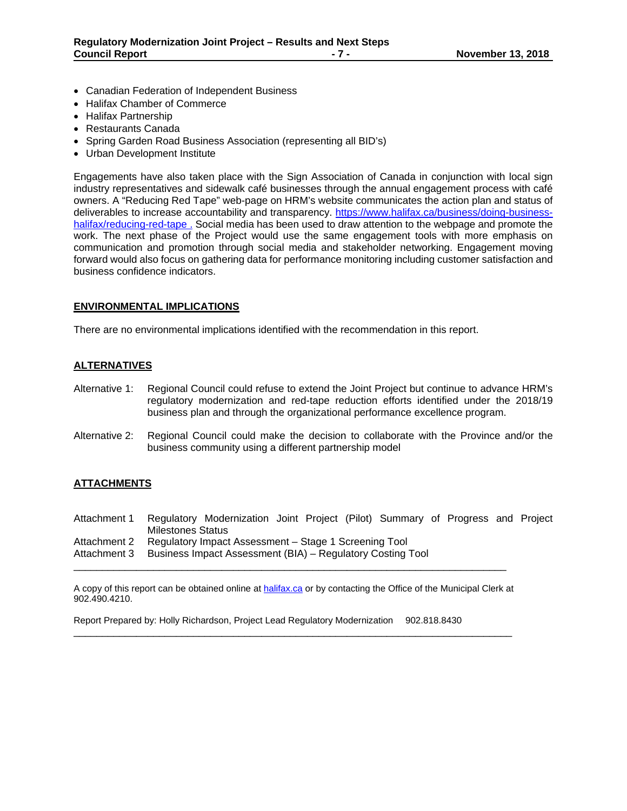- Canadian Federation of Independent Business
- Halifax Chamber of Commerce
- Halifax Partnership
- Restaurants Canada
- Spring Garden Road Business Association (representing all BID's)
- Urban Development Institute

Engagements have also taken place with the Sign Association of Canada in conjunction with local sign industry representatives and sidewalk café businesses through the annual engagement process with café owners. A "Reducing Red Tape" web-page on HRM's website communicates the action plan and status of deliverables to increase accountability and transparency. https://www.halifax.ca/business/doing-businesshalifax/reducing-red-tape . Social media has been used to draw attention to the webpage and promote the work. The next phase of the Project would use the same engagement tools with more emphasis on communication and promotion through social media and stakeholder networking. Engagement moving forward would also focus on gathering data for performance monitoring including customer satisfaction and business confidence indicators.

### **ENVIRONMENTAL IMPLICATIONS**

There are no environmental implications identified with the recommendation in this report.

### **ALTERNATIVES**

- Alternative 1: Regional Council could refuse to extend the Joint Project but continue to advance HRM's regulatory modernization and red-tape reduction efforts identified under the 2018/19 business plan and through the organizational performance excellence program.
- Alternative 2: Regional Council could make the decision to collaborate with the Province and/or the business community using a different partnership model

### **ATTACHMENTS**

Attachment 1 Regulatory Modernization Joint Project (Pilot) Summary of Progress and Project Milestones Status Attachment 2 Regulatory Impact Assessment – Stage 1 Screening Tool Attachment 3 Business Impact Assessment (BIA) – Regulatory Costing Tool

A copy of this report can be obtained online at halifax.ca or by contacting the Office of the Municipal Clerk at 902.490.4210.

\_\_\_\_\_\_\_\_\_\_\_\_\_\_\_\_\_\_\_\_\_\_\_\_\_\_\_\_\_\_\_\_\_\_\_\_\_\_\_\_\_\_\_\_\_\_\_\_\_\_\_\_\_\_\_\_\_\_\_\_\_\_\_\_\_\_\_\_\_\_\_\_\_\_\_\_\_

\_\_\_\_\_\_\_\_\_\_\_\_\_\_\_\_\_\_\_\_\_\_\_\_\_\_\_\_\_\_\_\_\_\_\_\_\_\_\_\_\_\_\_\_\_\_\_\_\_\_\_\_\_\_\_\_\_\_\_\_\_\_\_\_\_\_\_\_\_\_\_\_\_\_\_\_

Report Prepared by: Holly Richardson, Project Lead Regulatory Modernization 902.818.8430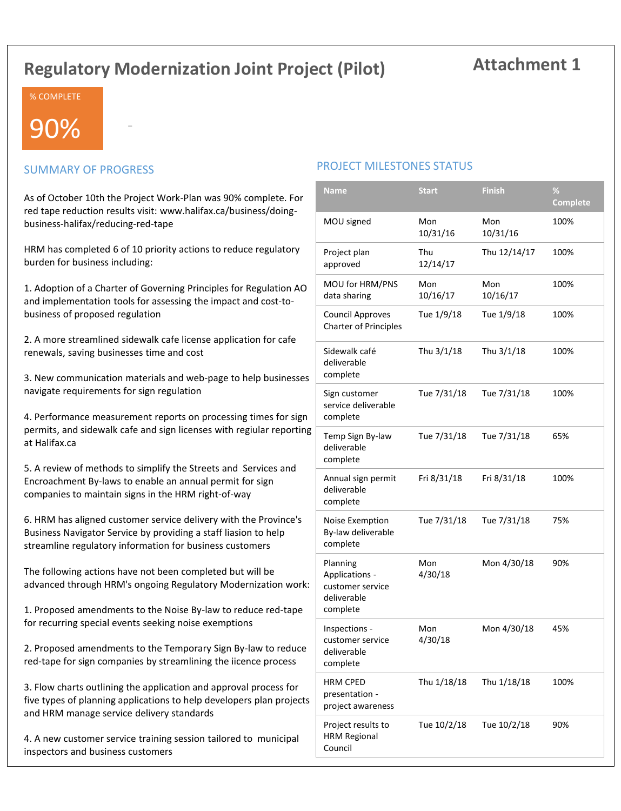# **Regulatory Modernization Joint Project (Pilot)**

# **Attachment 1**

### % COMPLETE

# 90%

### SUMMARY OF PROGRESS

-

As of October 10th the Project Work-Plan was 90% complete. For red tape reduction results visit: www.halifax.ca/business/doingbusiness-halifax/reducing-red-tape

HRM has completed 6 of 10 priority actions to reduce regulatory burden for business including:

1. Adoption of a Charter of Governing Principles for Regulation AO and implementation tools for assessing the impact and cost-tobusiness of proposed regulation

2. A more streamlined sidewalk cafe license application for cafe renewals, saving businesses time and cost

3. New communication materials and web-page to help businesses navigate requirements for sign regulation

4. Performance measurement reports on processing times for sign permits, and sidewalk cafe and sign licenses with regiular reporting at Halifax.ca

5. A review of methods to simplify the Streets and Services and Encroachment By-laws to enable an annual permit for sign companies to maintain signs in the HRM right-of-way

6. HRM has aligned customer service delivery with the Province's Business Navigator Service by providing a staff liasion to help streamline regulatory information for business customers

The following actions have not been completed but will be advanced through HRM's ongoing Regulatory Modernization work:

1. Proposed amendments to the Noise By-law to reduce red-tape for recurring special events seeking noise exemptions

2. Proposed amendments to the Temporary Sign By-law to reduce red-tape for sign companies by streamlining the iicence process

3. Flow charts outlining the application and approval process for five types of planning applications to help developers plan projects and HRM manage service delivery standards

4. A new customer service training session tailored to municipal inspectors and business customers

### PROJECT MILESTONES STATUS

| <b>Name</b>                                                               | <b>Start</b>    | <b>Finish</b>   | %<br><b>Complete</b> |
|---------------------------------------------------------------------------|-----------------|-----------------|----------------------|
| MOU signed                                                                | Mon<br>10/31/16 | Mon<br>10/31/16 | 100%                 |
| Project plan<br>approved                                                  | Thu<br>12/14/17 | Thu 12/14/17    | 100%                 |
| MOU for HRM/PNS<br>data sharing                                           | Mon<br>10/16/17 | Mon<br>10/16/17 | 100%                 |
| <b>Council Approves</b><br><b>Charter of Principles</b>                   | Tue 1/9/18      | Tue 1/9/18      | 100%                 |
| Sidewalk café<br>deliverable<br>complete                                  | Thu 3/1/18      | Thu 3/1/18      | 100%                 |
| Sign customer<br>service deliverable<br>complete                          | Tue 7/31/18     | Tue 7/31/18     | 100%                 |
| Temp Sign By-law<br>deliverable<br>complete                               | Tue 7/31/18     | Tue 7/31/18     | 65%                  |
| Annual sign permit<br>deliverable<br>complete                             | Fri 8/31/18     | Fri 8/31/18     | 100%                 |
| Noise Exemption<br>By-law deliverable<br>complete                         | Tue 7/31/18     | Tue 7/31/18     | 75%                  |
| Planning<br>Applications -<br>customer service<br>deliverable<br>complete | Mon<br>4/30/18  | Mon 4/30/18     | 90%                  |
| Inspections -<br>customer service<br>deliverable<br>complete              | Mon<br>4/30/18  | Mon 4/30/18     | 45%                  |
| <b>HRM CPED</b><br>presentation -<br>project awareness                    | Thu 1/18/18     | Thu 1/18/18     | 100%                 |
| Project results to<br><b>HRM Regional</b><br>Council                      | Tue 10/2/18     | Tue 10/2/18     | 90%                  |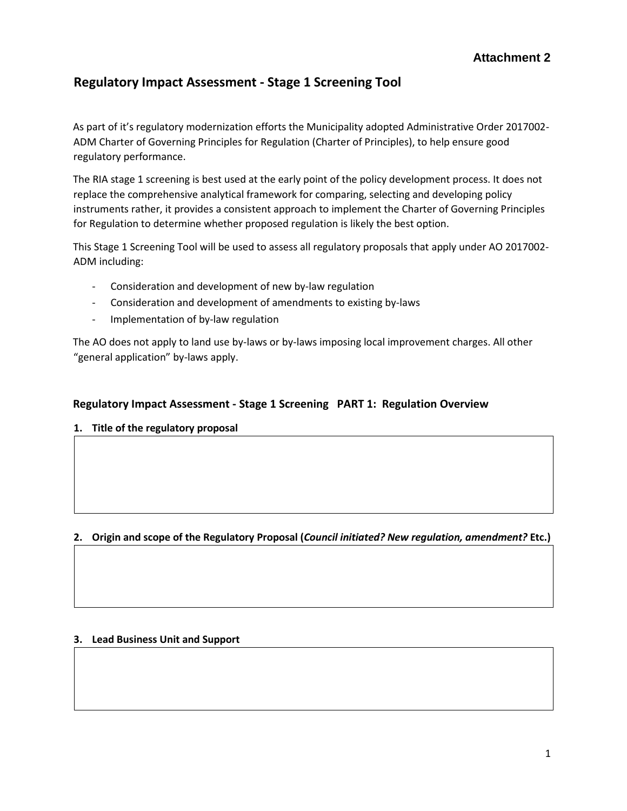# **Regulatory Impact Assessment - Stage 1 Screening Tool**

As part of it's regulatory modernization efforts the Municipality adopted Administrative Order 2017002- ADM Charter of Governing Principles for Regulation (Charter of Principles), to help ensure good regulatory performance.

The RIA stage 1 screening is best used at the early point of the policy development process. It does not replace the comprehensive analytical framework for comparing, selecting and developing policy instruments rather, it provides a consistent approach to implement the Charter of Governing Principles for Regulation to determine whether proposed regulation is likely the best option.

This Stage 1 Screening Tool will be used to assess all regulatory proposals that apply under AO 2017002- ADM including:

- Consideration and development of new by-law regulation
- Consideration and development of amendments to existing by-laws
- Implementation of by-law regulation

The AO does not apply to land use by-laws or by-laws imposing local improvement charges. All other "general application" by-laws apply.

### **Regulatory Impact Assessment - Stage 1 Screening PART 1: Regulation Overview**

**1. Title of the regulatory proposal** 

### **2. Origin and scope of the Regulatory Proposal (***Council initiated? New regulation, amendment?* **Etc.)**

### **3. Lead Business Unit and Support**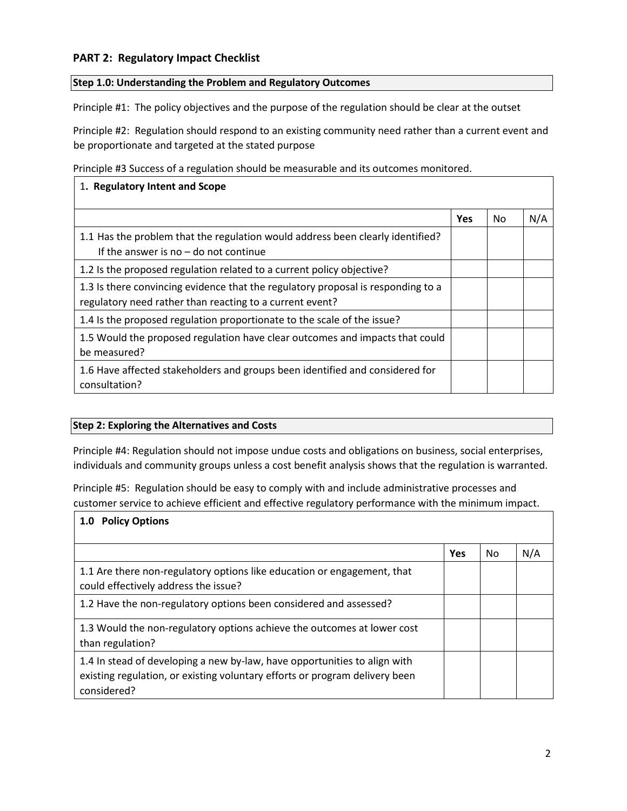### **PART 2: Regulatory Impact Checklist**

### **Step 1.0: Understanding the Problem and Regulatory Outcomes**

Principle #1: The policy objectives and the purpose of the regulation should be clear at the outset

Principle #2: Regulation should respond to an existing community need rather than a current event and be proportionate and targeted at the stated purpose

Principle #3 Success of a regulation should be measurable and its outcomes monitored.

| 1. Regulatory Intent and Scope                                                                                                               |     |                |     |
|----------------------------------------------------------------------------------------------------------------------------------------------|-----|----------------|-----|
|                                                                                                                                              | Yes | N <sub>0</sub> | N/A |
| 1.1 Has the problem that the regulation would address been clearly identified?<br>If the answer is no $-$ do not continue                    |     |                |     |
| 1.2 Is the proposed regulation related to a current policy objective?                                                                        |     |                |     |
| 1.3 Is there convincing evidence that the regulatory proposal is responding to a<br>regulatory need rather than reacting to a current event? |     |                |     |
| 1.4 Is the proposed regulation proportionate to the scale of the issue?                                                                      |     |                |     |
| 1.5 Would the proposed regulation have clear outcomes and impacts that could<br>be measured?                                                 |     |                |     |
| 1.6 Have affected stakeholders and groups been identified and considered for<br>consultation?                                                |     |                |     |

### **Step 2: Exploring the Alternatives and Costs**

Principle #4: Regulation should not impose undue costs and obligations on business, social enterprises, individuals and community groups unless a cost benefit analysis shows that the regulation is warranted.

Principle #5: Regulation should be easy to comply with and include administrative processes and customer service to achieve efficient and effective regulatory performance with the minimum impact.

| <b>Policy Options</b><br>1.0                                                                                                                                            |            |     |     |
|-------------------------------------------------------------------------------------------------------------------------------------------------------------------------|------------|-----|-----|
|                                                                                                                                                                         | <b>Yes</b> | No. | N/A |
| 1.1 Are there non-regulatory options like education or engagement, that<br>could effectively address the issue?                                                         |            |     |     |
| 1.2 Have the non-regulatory options been considered and assessed?                                                                                                       |            |     |     |
| 1.3 Would the non-regulatory options achieve the outcomes at lower cost<br>than regulation?                                                                             |            |     |     |
| 1.4 In stead of developing a new by-law, have opportunities to align with<br>existing regulation, or existing voluntary efforts or program delivery been<br>considered? |            |     |     |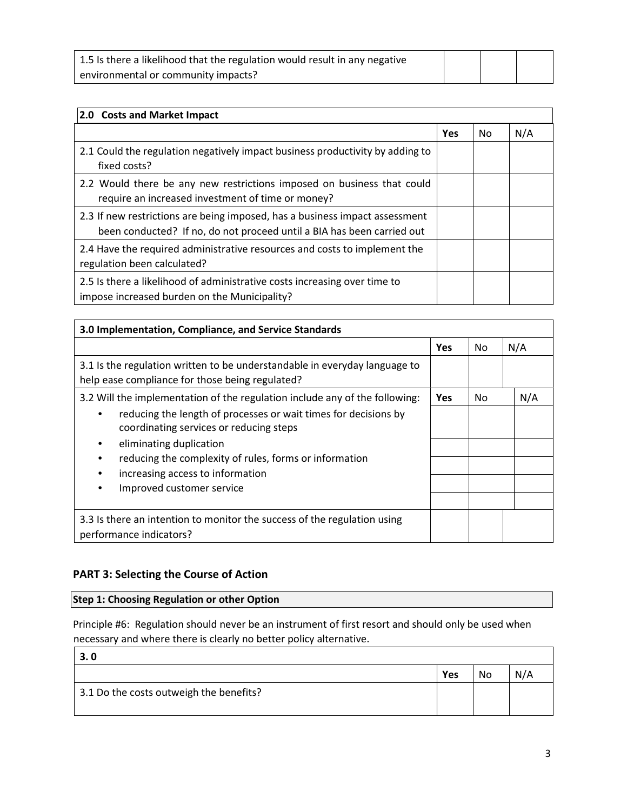| 1.5 Is there a likelihood that the regulation would result in any negative |  |  |
|----------------------------------------------------------------------------|--|--|
| environmental or community impacts?                                        |  |  |

| 2.0 Costs and Market Impact                                                                                                                           |            |     |     |
|-------------------------------------------------------------------------------------------------------------------------------------------------------|------------|-----|-----|
|                                                                                                                                                       | <b>Yes</b> | No. | N/A |
| 2.1 Could the regulation negatively impact business productivity by adding to<br>fixed costs?                                                         |            |     |     |
| 2.2 Would there be any new restrictions imposed on business that could<br>require an increased investment of time or money?                           |            |     |     |
| 2.3 If new restrictions are being imposed, has a business impact assessment<br>been conducted? If no, do not proceed until a BIA has been carried out |            |     |     |
| 2.4 Have the required administrative resources and costs to implement the<br>regulation been calculated?                                              |            |     |     |
| 2.5 Is there a likelihood of administrative costs increasing over time to<br>impose increased burden on the Municipality?                             |            |     |     |

| 3.0 Implementation, Compliance, and Service Standards                                                                         |            |     |     |  |
|-------------------------------------------------------------------------------------------------------------------------------|------------|-----|-----|--|
|                                                                                                                               | <b>Yes</b> | No. | N/A |  |
| 3.1 Is the regulation written to be understandable in everyday language to<br>help ease compliance for those being regulated? |            |     |     |  |
| 3.2 Will the implementation of the regulation include any of the following:                                                   | <b>Yes</b> | No. | N/A |  |
| reducing the length of processes or wait times for decisions by<br>coordinating services or reducing steps                    |            |     |     |  |
| eliminating duplication                                                                                                       |            |     |     |  |
| reducing the complexity of rules, forms or information                                                                        |            |     |     |  |
| increasing access to information                                                                                              |            |     |     |  |
| Improved customer service                                                                                                     |            |     |     |  |
| 3.3 Is there an intention to monitor the success of the regulation using<br>performance indicators?                           |            |     |     |  |

### **PART 3: Selecting the Course of Action**

Г

## **Step 1: Choosing Regulation or other Option**

Principle #6: Regulation should never be an instrument of first resort and should only be used when necessary and where there is clearly no better policy alternative.

| 3.0                                     |     |    |  |
|-----------------------------------------|-----|----|--|
|                                         | Yes | No |  |
| 3.1 Do the costs outweigh the benefits? |     |    |  |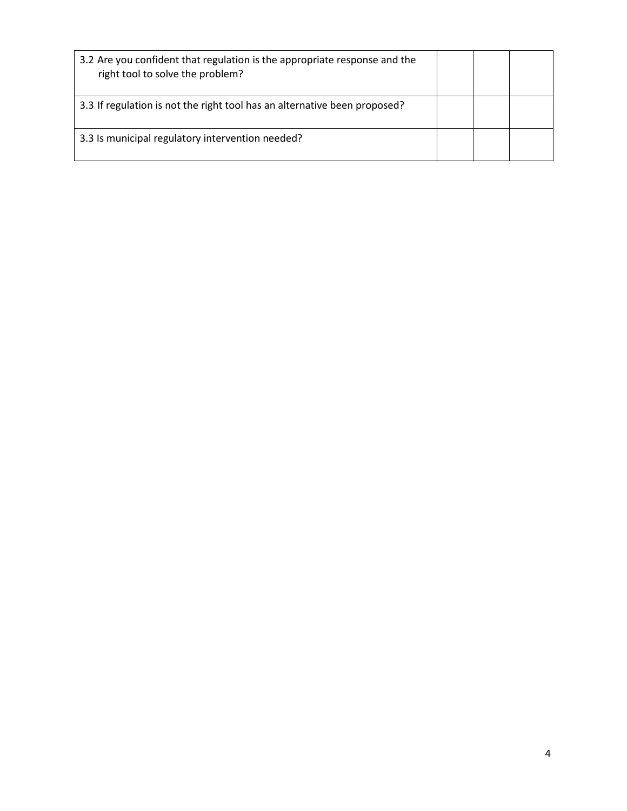| 3.2 Are you confident that regulation is the appropriate response and the<br>right tool to solve the problem? |  |  |
|---------------------------------------------------------------------------------------------------------------|--|--|
| 3.3 If regulation is not the right tool has an alternative been proposed?                                     |  |  |
| 3.3 Is municipal regulatory intervention needed?                                                              |  |  |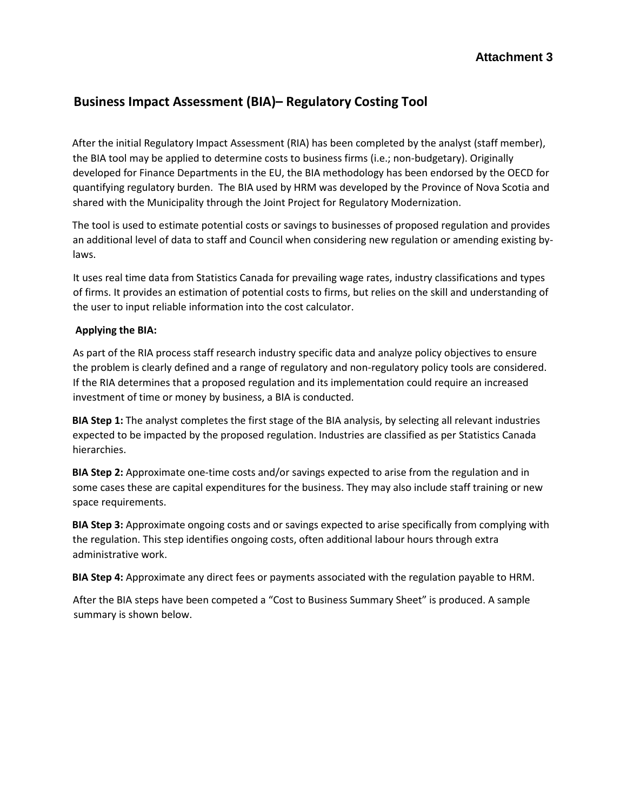# **Business Impact Assessment (BIA)– Regulatory Costing Tool**

After the initial Regulatory Impact Assessment (RIA) has been completed by the analyst (staff member), the BIA tool may be applied to determine costs to business firms (i.e.; non-budgetary). Originally developed for Finance Departments in the EU, the BIA methodology has been endorsed by the OECD for quantifying regulatory burden. The BIA used by HRM was developed by the Province of Nova Scotia and shared with the Municipality through the Joint Project for Regulatory Modernization.

The tool is used to estimate potential costs or savings to businesses of proposed regulation and provides an additional level of data to staff and Council when considering new regulation or amending existing bylaws.

It uses real time data from Statistics Canada for prevailing wage rates, industry classifications and types of firms. It provides an estimation of potential costs to firms, but relies on the skill and understanding of the user to input reliable information into the cost calculator.

### **Applying the BIA:**

As part of the RIA process staff research industry specific data and analyze policy objectives to ensure the problem is clearly defined and a range of regulatory and non-regulatory policy tools are considered. If the RIA determines that a proposed regulation and its implementation could require an increased investment of time or money by business, a BIA is conducted.

**BIA Step 1:** The analyst completes the first stage of the BIA analysis, by selecting all relevant industries expected to be impacted by the proposed regulation. Industries are classified as per Statistics Canada hierarchies.

**BIA Step 2:** Approximate one-time costs and/or savings expected to arise from the regulation and in some cases these are capital expenditures for the business. They may also include staff training or new space requirements.

**BIA Step 3:** Approximate ongoing costs and or savings expected to arise specifically from complying with the regulation. This step identifies ongoing costs, often additional labour hours through extra administrative work.

**BIA Step 4:** Approximate any direct fees or payments associated with the regulation payable to HRM.

After the BIA steps have been competed a "Cost to Business Summary Sheet" is produced. A sample summary is shown below.